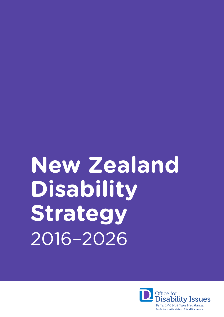# **New Zealand Disability Strategy** 2016–2026

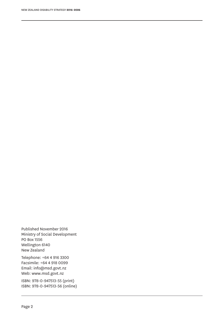Published November 2016 Ministry of Social Development PO Box 1556 Wellington 6140 New Zealand

NEW ZEALAND DISABILITY STRATEGY **2016–2026**

Telephone: +64 4 916 3300 Facsimile: +64 4 918 0099 Email: info@msd.govt.nz Web: www.msd.govt.nz

ISBN: 978-0-947513-55 (print) ISBN: 978-0-947513-56 (online)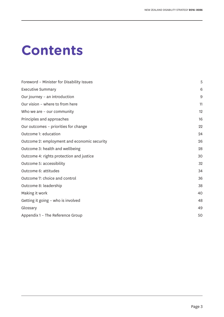## **Contents**

| Foreword - Minister for Disability Issues   | 5  |
|---------------------------------------------|----|
| <b>Executive Summary</b>                    | 6  |
| Our journey - an introduction               | 9  |
| Our vision - where to from here             | 11 |
| Who we are $-$ our community                | 12 |
| Principles and approaches                   | 16 |
| Our outcomes - priorities for change        | 22 |
| Outcome 1: education                        | 24 |
| Outcome 2: employment and economic security | 26 |
| Outcome 3: health and wellbeing             | 28 |
| Outcome 4: rights protection and justice    | 30 |
| Outcome 5: accessibility                    | 32 |
| Outcome 6: attitudes                        | 34 |
| Outcome 7: choice and control               | 36 |
| Outcome 8: leadership                       | 38 |
| Making it work                              | 40 |
| Getting it going - who is involved          | 48 |
| Glossary                                    | 49 |
| Appendix 1 - The Reference Group            | 50 |
|                                             |    |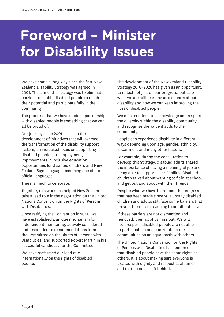## **Foreword – Minister for Disability Issues**

We have come a long way since the first New Zealand Disability Strategy was agreed in 2001. The aim of the strategy was to eliminate barriers to enable disabled people to reach their potential and participate fully in the community.

The progress that we have made in partnership with disabled people is something that we can all be proud of.

Our journey since 2001 has seen the development of initiatives that will oversee the transformation of the disability support system, an increased focus on supporting disabled people into employment, improvements in inclusive education opportunities for disabled children, and New Zealand Sign Language becoming one of our official languages.

There is much to celebrate.

Together, this work has helped New Zealand take a lead role in the negotiation on the United Nations Convention on the Rights of Persons with Disabilities.

Since ratifying the Convention in 2008, we have established a unique mechanism for independent monitoring, actively considered and responded to recommendations from the Committee on the Rights of Persons with Disabilities, and supported Robert Martin in his successful candidacy for the Committee.

We have reaffirmed our lead role internationally on the rights of disabled people.

The development of the New Zealand Disability Strategy 2016–2026 has given us an opportunity to reflect not just on our progress, but also what we are still learning as a country about disability and how we can keep improving the lives of disabled people.

We must continue to acknowledge and respect the diversity within the disability community and recognise the value it adds to the community.

People can experience disability in different ways depending upon age, gender, ethnicity, impairment and many other factors.

For example, during the consultation to develop this Strategy, disabled adults shared the importance of having a meaningful job and being able to support their families. Disabled children talked about wanting to fit in at school and get out and about with their friends.

Despite what we have learnt and the progress that has been made since 2001, many disabled children and adults still face some barriers that prevent them from reaching their full potential.

If these barriers are not dismantled and removed, then all of us miss out. We will not prosper if disabled people are not able to participate in and contribute to our communities on an equal basis with others.

The United Nations Convention on the Rights of Persons with Disabilities has reinforced that disabled people have the same rights as others. It is about making sure everyone is treated with dignity and respect at all times, and that no one is left behind.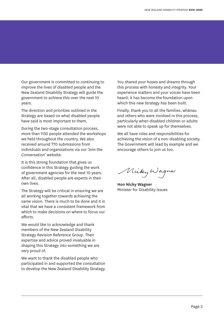Our government is committed to continuing to improve the lives of disabled people and the New Zealand Disability Strategy will guide the government to achieve this over the next 10 years.

The direction and priorities outlined in the Strategy are based on what disabled people have said is most important to them.

During the two-stage consultation process, more than 1130 people attended the workshops we held throughout the country. We also received around 770 submissions from individuals and organisations via our 'Join the Conversation' website.

It is this strong foundation that gives us confidence in this Strategy guiding the work of government agencies for the next 10 years. After all, disabled people are experts in their own lives.

The Strategy will be critical in ensuring we are all working together towards achieving the same vision. There is much to be done and it is vital that we have a consistent framework from which to make decisions on where to focus our efforts.

We would like to acknowledge and thank members of the New Zealand Disability Strategy Revision Reference Group. Their expertise and advice proved invaluable in shaping this Strategy into something we are very proud of.

We want to thank the disabled people who participated in and supported the consultation to develop the New Zealand Disability Strategy. You shared your hopes and dreams through this process with honesty and integrity. Your experience matters and your voices have been heard; it has become the foundation upon which this new Strategy has been built.

Finally, thank you to all the families, whānau and others who were involved in this process, particularly when disabled children or adults were not able to speak up for themselves.

We all have roles and responsibilities for achieving the vision of a non-disabling society. The Government will lead by example and we encourage others to join us too.

Muky Wagner

**Hon Nicky Wagner**  Minister for Disability Issues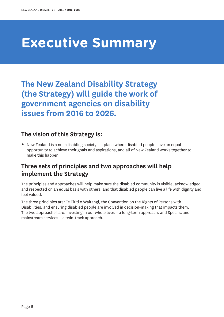## **Executive Summary**

**The New Zealand Disability Strategy (the Strategy) will guide the work of government agencies on disability issues from 2016 to 2026.**

#### **The vision of this Strategy is:**

**•** New Zealand is a non-disabling society – a place where disabled people have an equal opportunity to achieve their goals and aspirations, and all of New Zealand works together to make this happen.

#### **Three sets of principles and two approaches will help implement the Strategy**

The principles and approaches will help make sure the disabled community is visible, acknowledged and respected on an equal basis with others, and that disabled people can live a life with dignity and feel valued.

The three principles are: Te Tiriti o Waitangi, the Convention on the Rights of Persons with Disabilities, and ensuring disabled people are involved in decision-making that impacts them. The two approaches are: Investing in our whole lives – a long-term approach, and Specific and mainstream services – a twin-track approach.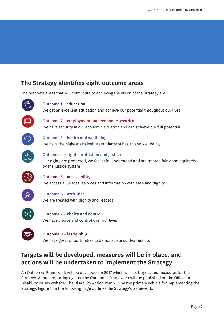#### **The Strategy identifies eight outcome areas**

The outcome areas that will contribute to achieving the vision of the Strategy are:



#### **Outcome 1 – education**

We get an excellent education and achieve our potential throughout our lives



**Outcome 2 – employment and economic security** We have security in our economic situation and can achieve our full potential



**Outcome 3 – health and wellbeing** We have the highest attainable standards of health and wellbeing



**Outcome 4 – rights protection and justice** Our rights are protected, we feel safe, understood and are treated fairly and equitably by the justice system



**Outcome 5 – accessibility** We access all places, services and information with ease and dignity



**Outcome 6 – attitudes** We are treated with dignity and respect



**Outcome 7 – choice and control** We have choice and control over our lives



#### **Outcome 8 – leadership**

We have great opportunities to demonstrate our leadership.

#### **Targets will be developed, measures will be in place, and actions will be undertaken to implement the Strategy**

An Outcomes Framework will be developed in 2017 which will set targets and measures for the Strategy. Annual reporting against the Outcomes Framework will be published on the Office for Disability Issues website. The Disability Action Plan will be the primary vehicle for implementing the Strategy. Figure 1 on the following page outlines the Strategy's framework.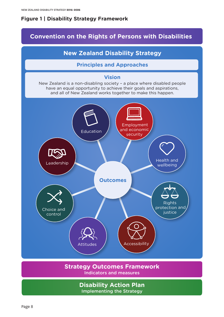#### **Figure 1 | Disability Strategy Framework**

#### **Convention on the Rights of Persons with Disabilities**

#### **New Zealand Disability Strategy**

#### **Principles and Approaches**

#### **Vision**

New Zealand is a non-disabling society – a place where disabled people have an equal opportunity to achieve their goals and aspirations, and all of New Zealand works together to make this happen.



#### **Strategy Outcomes Framework** Indicators and measures

**Disability Action Plan** Implementing the Strategy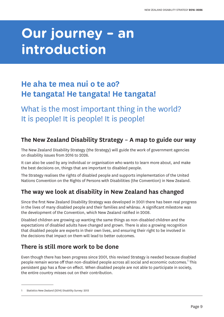## **Our journey – an introduction**

### **He aha te mea nui o te ao? He tangata! He tangata! He tangata!**

What is the most important thing in the world? It is people! It is people! It is people!

#### **The New Zealand Disability Strategy – A map to guide our way**

The New Zealand Disability Strategy (the Strategy) will guide the work of government agencies on disability issues from 2016 to 2026.

It can also be used by any individual or organisation who wants to learn more about, and make the best decisions on, things that are important to disabled people.

The Strategy realises the rights of disabled people and supports implementation of the United Nations Convention on the Rights of Persons with Disabilities (the Convention) in New Zealand.

#### **The way we look at disability in New Zealand has changed**

Since the first New Zealand Disability Strategy was developed in 2001 there has been real progress in the lives of many disabled people and their families and whānau. A significant milestone was the development of the Convention, which New Zealand ratified in 2008.

Disabled children are growing up wanting the same things as non-disabled children and the expectations of disabled adults have changed and grown. There is also a growing recognition that disabled people are experts in their own lives, and ensuring their right to be involved in the decisions that impact on them will lead to better outcomes.

#### **There is still more work to be done**

Even though there has been progress since 2001, this revised Strategy is needed because disabled people remain worse off than non-disabled people across all social and economic outcomes. $^{\rm 1}$  This persistent gap has a flow-on effect. When disabled people are not able to participate in society, the entire country misses out on their contribution.

Statistics New Zealand (2014) Disability Survey: 2013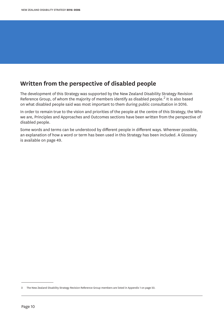#### **Written from the perspective of disabled people**

The development of this Strategy was supported by the New Zealand Disability Strategy Revision Reference Group, of whom the majority of members identify as disabled people.<sup>2</sup> It is also based on what disabled people said was most important to them during public consultation in 2016.

In order to remain true to the vision and priorities of the people at the centre of this Strategy, the Who we are, Principles and Approaches and Outcomes sections have been written from the perspective of disabled people.

Some words and terms can be understood by different people in different ways. Wherever possible, an explanation of how a word or term has been used in this Strategy has been included. A Glossary is available on page 49.

<sup>2</sup> The New Zealand Disability Strategy Revision Reference Group members are listed in Appendix 1 on page 50.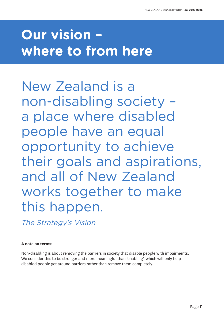## **Our vision – where to from here**

New Zealand is a non-disabling society – a place where disabled people have an equal opportunity to achieve their goals and aspirations, and all of New Zealand works together to make this happen.

The Strategy's Vision

#### **A note on terms:**

Non-disabling is about removing the barriers in society that disable people with impairments. We consider this to be stronger and more meaningful than 'enabling', which will only help disabled people get around barriers rather than remove them completely.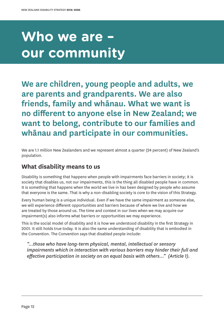## **Who we are – our community**

**We are children, young people and adults, we are parents and grandparents. We are also friends, family and whānau. What we want is no different to anyone else in New Zealand; we want to belong, contribute to our families and whānau and participate in our communities.**

We are 1.1 million New Zealanders and we represent almost a quarter (24 percent) of New Zealand's population.

#### **What disability means to us**

Disability is something that happens when people with impairments face barriers in society; it is society that disables us, not our impairments, this is the thing all disabled people have in common. It is something that happens when the world we live in has been designed by people who assume that everyone is the same. That is why a non-disabling society is core to the vision of this Strategy.

Every human being is a unique individual. Even if we have the same impairment as someone else, we will experience different opportunities and barriers because of where we live and how we are treated by those around us. The time and context in our lives when we may acquire our impairment(s) also informs what barriers or opportunities we may experience.

This is the social model of disability and it is how we understood disability in the first Strategy in 2001. It still holds true today. It is also the same understanding of disability that is embodied in the Convention. The Convention says that disabled people include:

*"…those who have long-term physical, mental, intellectual or sensory impairments which in interaction with various barriers may hinder their full and effective participation in society on an equal basis with others…" (Article 1).*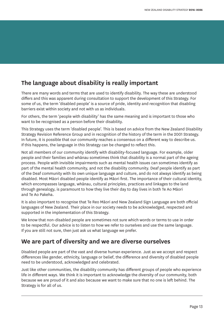#### **The language about disability is really important**

There are many words and terms that are used to identify disability. The way these are understood differs and this was apparent during consultation to support the development of this Strategy. For some of us, the term 'disabled people' is a source of pride, identity and recognition that disabling barriers exist within society and not with us as individuals.

For others, the term 'people with disability' has the same meaning and is important to those who want to be recognised as a person before their disability.

This Strategy uses the term 'disabled people'. This is based on advice from the New Zealand Disability Strategy Revision Reference Group and in recognition of the history of the term in the 2001 Strategy. In future, it is possible that our community reaches a consensus on a different way to describe us. If this happens, the language in this Strategy can be changed to reflect this.

Not all members of our community identify with disability-focused language. For example, older people and their families and whānau sometimes think that disability is a normal part of the ageing process. People with invisible impairments such as mental health issues can sometimes identify as part of the mental health community, and not the disability community. Deaf people identify as part of the Deaf community with its own unique language and culture, and do not always identify as being disabled. Most Māori disabled people identify as Māori first. The importance of their cultural identity, which encompasses language, whānau, cultural principles, practices and linkages to the land through genealogy, is paramount to how they live their day to day lives in both Te Ao Māori and Te Ao Pakeha.

It is also important to recognise that Te Reo Māori and New Zealand Sign Language are both official languages of New Zealand. Their place in our society needs to be acknowledged, respected and supported in the implementation of this Strategy.

We know that non-disabled people are sometimes not sure which words or terms to use in order to be respectful. Our advice is to listen to how we refer to ourselves and use the same language. If you are still not sure, then just ask us what language we prefer.

#### **We are part of diversity and we are diverse ourselves**

Disabled people are part of the vast and diverse human experience. Just as we accept and respect differences like gender, ethnicity, language or belief, the difference and diversity of disabled people need to be understood, acknowledged and celebrated.

Just like other communities, the disability community has different groups of people who experience life in different ways. We think it is important to acknowledge the diversity of our community, both because we are proud of it and also because we want to make sure that no one is left behind. The Strategy is for all of us.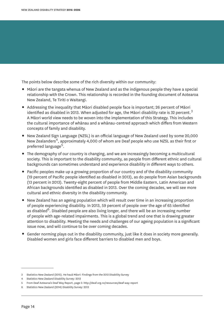The points below describe some of the rich diversity within our community:

- **•** Māori are the tangata whenua of New Zealand and as the indigenous people they have a special relationship with the Crown. This relationship is recorded in the founding document of Aotearoa New Zealand, Te Tiriti o Waitangi.
- **•** Addressing the inequality that Māori disabled people face is important; 26 percent of Māori identified as disabled in 2013. When adjusted for age, the Māori disability rate is 32 percent.<sup>3</sup> A Māori world view needs to be woven into the implementation of this Strategy. This includes the cultural importance of whānau and a whānau-centred approach which differs from Western concepts of family and disability.
- **•** New Zealand Sign Language (NZSL) is an official language of New Zealand used by some 20,000 New Zealanders<sup>4</sup>, approximately 4,000 of whom are Deaf people who use NZSL as their first or preferred language<sup>5</sup>.
- **•** The demography of our country is changing, and we are increasingly becoming a multicultural society. This is important to the disability community, as people from different ethnic and cultural backgrounds can sometimes understand and experience disability in different ways to others.
- **•** Pacific peoples make up a growing proportion of our country and of the disability community (19 percent of Pacific people identified as disabled in 2013), as do people from Asian backgrounds (13 percent in 2013). Twenty-eight percent of people from Middle Eastern, Latin American and African backgrounds identified as disabled in 2013. Over the coming decades, we will see more cultural and ethnic diversity in the disability community.
- **•** New Zealand has an ageing population which will result over time in an increasing proportion of people experiencing disability. In 2013, 59 percent of people over the age of 65 identified as disabled<sup>6</sup>. Disabled people are also living longer, and there will be an increasing number of people with age-related impairments. This is a global trend and one that is drawing greater attention to disability. Meeting the needs and challenges of our ageing population is a significant issue now, and will continue to be over coming decades.
- **•** Gender norming plays out in the disability community, just like it does in society more generally. Disabled women and girls face different barriers to disabled men and boys.

<sup>3</sup> Statistics New Zealand (2015). He hauā Māori: Findings from the 2013 Disability Survey

<sup>4</sup> Statistics New Zealand Disability Survey: 2013

<sup>5</sup> From Deaf Aotearoa's Deaf Way Report, page 5: http://deaf.org.nz/resources/deaf-way-report

<sup>6</sup> Statistics New Zealand (2014) Disability Survey: 2013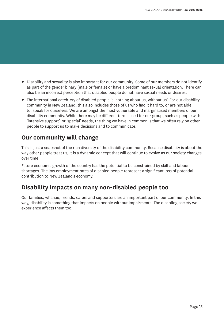- **•** Disability and sexuality is also important for our community. Some of our members do not identify as part of the gender binary (male or female) or have a predominant sexual orientation. There can also be an incorrect perception that disabled people do not have sexual needs or desires.
- **•** The international catch-cry of disabled people is 'nothing about us, without us'. For our disability community in New Zealand, this also includes those of us who find it hard to, or are not able to, speak for ourselves. We are amongst the most vulnerable and marginalised members of our disability community. While there may be different terms used for our group, such as people with 'intensive support', or 'special' needs, the thing we have in common is that we often rely on other people to support us to make decisions and to communicate.

#### **Our community will change**

This is just a snapshot of the rich diversity of the disability community. Because disability is about the way other people treat us, it is a dynamic concept that will continue to evolve as our society changes over time.

Future economic growth of the country has the potential to be constrained by skill and labour shortages. The low employment rates of disabled people represent a significant loss of potential contribution to New Zealand's economy.

#### **Disability impacts on many non-disabled people too**

Our families, whānau, friends, carers and supporters are an important part of our community. In this way, disability is something that impacts on people without impairments. The disabling society we experience affects them too.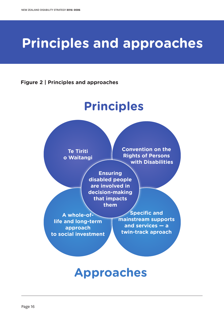## **Principles and approaches**

**Figure 2 | Principles and approaches**

## **Principles**

**Te Tiriti o Waitangi** **Convention on the Rights of Persons with Disabilities**

**Ensuring disabled people are involved in decision-making that impacts them**

**A whole-oflife and long-term approach to social investment**

**Specific and mainstream supports and services — a twin-track aproach**

### **Approaches**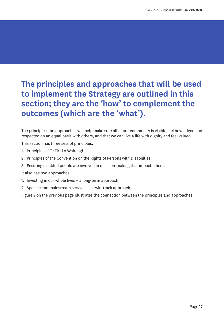### **The principles and approaches that will be used to implement the Strategy are outlined in this section; they are the 'how' to complement the outcomes (which are the 'what').**

The principles and approaches will help make sure all of our community is visible, acknowledged and respected on an equal basis with others, and that we can live a life with dignity and feel valued.

This section has three sets of principles:

- 1. Principles of Te Tiriti o Waitangi
- 2. Principles of the Convention on the Rights of Persons with Disabilities
- 3. Ensuring disabled people are involved in decision-making that impacts them.

It also has two approaches:

- 1. Investing in our whole lives a long-term approach
- 2. Specific and mainstream services a twin-track approach.

Figure 2 on the previous page illustrates the connection between the principles and approaches.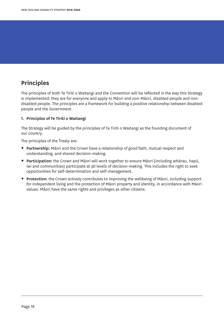#### **Principles**

The principles of both Te Tiriti o Waitangi and the Convention will be reflected in the way this Strategy is implemented; they are for everyone and apply to Māori and non-Māori, disabled people and nondisabled people. The principles are a framework for building a positive relationship between disabled people and the Government.

#### **1. Principles of Te Tiriti o Waitangi**

The Strategy will be guided by the principles of Te Tiriti o Waitangi as the founding document of our country.

The principles of the Treaty are:

- **• Partnership:** Māori and the Crown have a relationship of good faith, mutual respect and understanding, and shared decision-making.
- **• Participation:** the Crown and Māori will work together to ensure Māori (including whānau, hapū, iwi and communities) participate at all levels of decision-making. This includes the right to seek opportunities for self-determination and self-management.
- **• Protection:** the Crown actively contributes to improving the wellbeing of Māori, including support for independent living and the protection of Māori property and identity, in accordance with Māori values. Māori have the same rights and privileges as other citizens.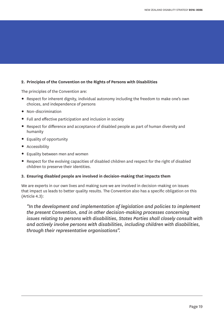#### **2. Principles of the Convention on the Rights of Persons with Disabilities**

The principles of the Convention are:

- **•** Respect for inherent dignity, individual autonomy including the freedom to make one's own choices, and independence of persons
- **•** Non-discrimination
- **•** Full and effective participation and inclusion in society
- **•** Respect for difference and acceptance of disabled people as part of human diversity and humanity
- **•** Equality of opportunity
- **•** Accessibility
- **•** Equality between men and women
- **•** Respect for the evolving capacities of disabled children and respect for the right of disabled children to preserve their identities.

#### **3. Ensuring disabled people are involved in decision-making that impacts them**

We are experts in our own lives and making sure we are involved in decision-making on issues that impact us leads to better quality results. The Convention also has a specific obligation on this (Article 4.3):

*"In the development and implementation of legislation and policies to implement the present Convention, and in other decision-making processes concerning issues relating to persons with disabilities, States Parties shall closely consult with and actively involve persons with disabilities, including children with disabilities, through their representative organisations".*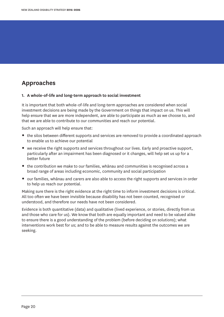#### **Approaches**

#### **1. A whole-of-life and long-term approach to social investment**

It is important that both whole-of-life and long-term approaches are considered when social investment decisions are being made by the Government on things that impact on us. This will help ensure that we are more independent, are able to participate as much as we choose to, and that we are able to contribute to our communities and reach our potential.

Such an approach will help ensure that:

- **•** the silos between different supports and services are removed to provide a coordinated approach to enable us to achieve our potential
- **•** we receive the right supports and services throughout our lives. Early and proactive support, particularly after an impairment has been diagnosed or it changes, will help set us up for a better future
- **•** the contribution we make to our families, whānau and communities is recognised across a broad range of areas including economic, community and social participation
- **•** our families, whānau and carers are also able to access the right supports and services in order to help us reach our potential.

Making sure there is the right evidence at the right time to inform investment decisions is critical. All too often we have been invisible because disability has not been counted, recognised or understood, and therefore our needs have not been considered.

Evidence is both quantitative (data) and qualitative (lived experience, or stories, directly from us and those who care for us). We know that both are equally important and need to be valued alike to ensure there is a good understanding of the problem (before deciding on solutions); what interventions work best for us; and to be able to measure results against the outcomes we are seeking.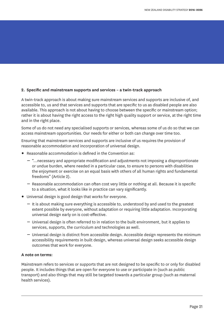#### **2. Specific and mainstream supports and services – a twin-track approach**

A twin-track approach is about making sure mainstream services and supports are inclusive of, and accessible to, us and that services and supports that are specific to us as disabled people are also available. This approach is not about having to choose between the specific or mainstream option; rather it is about having the right access to the right high quality support or service, at the right time and in the right place.

Some of us do not need any specialised supports or services, whereas some of us do so that we can access mainstream opportunities. Our needs for either or both can change over time too.

Ensuring that mainstream services and supports are inclusive of us requires the provision of reasonable accommodation and incorporation of universal design.

- **•** Reasonable accommodation is defined in the Convention as:
	- "…necessary and appropriate modification and adjustments not imposing a disproportionate or undue burden, where needed in a particular case, to ensure to persons with disabilities the enjoyment or exercise on an equal basis with others of all human rights and fundamental freedoms" (Article 2).
	- Reasonable accommodation can often cost very little or nothing at all. Because it is specific to a situation, what it looks like in practice can vary significantly.
- **•** Universal design is good design that works for everyone.
	- It is about making sure everything is accessible to, understood by and used to the greatest extent possible by everyone, without adaptation or requiring little adaptation. Incorporating universal design early on is cost-effective.
	- Universal design is often referred to in relation to the built environment, but it applies to services, supports, the curriculum and technologies as well.
	- Universal design is distinct from accessible design. Accessible design represents the minimum accessibility requirements in built design, whereas universal design seeks accessible design outcomes that work for everyone.

#### **A note on terms:**

Mainstream refers to services or supports that are not designed to be specific to or only for disabled people. It includes things that are open for everyone to use or participate in (such as public transport) and also things that may still be targeted towards a particular group (such as maternal health services).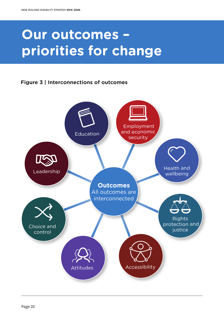## **Our outcomes – priorities for change**

#### **Figure 3 | Interconnections of outcomes**

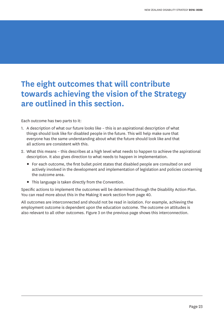### **The eight outcomes that will contribute towards achieving the vision of the Strategy are outlined in this section.**

Each outcome has two parts to it:

- 1. A description of what our future looks like this is an aspirational description of what things should look like for disabled people in the future. This will help make sure that everyone has the same understanding about what the future should look like and that all actions are consistent with this.
- 2. What this means this describes at a high level what needs to happen to achieve the aspirational description. It also gives direction to what needs to happen in implementation.
	- **•** For each outcome, the first bullet point states that disabled people are consulted on and actively involved in the development and implementation of legislation and policies concerning the outcome area.
	- **•** This language is taken directly from the Convention.

Specific actions to implement the outcomes will be determined through the Disability Action Plan. You can read more about this in the Making it work section from page 40.

All outcomes are interconnected and should not be read in isolation. For example, achieving the employment outcome is dependent upon the education outcome. The outcome on attitudes is also relevant to all other outcomes. Figure 3 on the previous page shows this interconnection.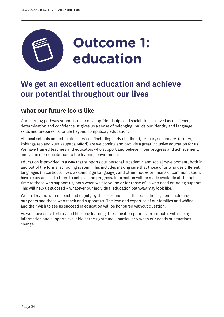

### **We get an excellent education and achieve our potential throughout our lives**

#### **What our future looks like**

Our learning pathway supports us to develop friendships and social skills, as well as resilience, determination and confidence. It gives us a sense of belonging, builds our identity and language skills and prepares us for life beyond compulsory education.

All local schools and education services (including early childhood, primary secondary, tertiary, kohanga reo and kura kaupapa Māori) are welcoming and provide a great inclusive education for us. We have trained teachers and educators who support and believe in our progress and achievement, and value our contribution to the learning environment.

Education is provided in a way that supports our personal, academic and social development, both in and out of the formal schooling system. This includes making sure that those of us who use different languages (in particular New Zealand Sign Language), and other modes or means of communication, have ready access to them to achieve and progress. Information will be made available at the right time to those who support us, both when we are young or for those of us who need on-going support. This will help us succeed – whatever our individual education pathway may look like.

We are treated with respect and dignity by those around us in the education system, including our peers and those who teach and support us. The love and expertise of our families and whānau and their wish to see us succeed in education will be honoured without question.

As we move on to tertiary and life-long learning, the transition periods are smooth, with the right information and supports available at the right time – particularly when our needs or situations change.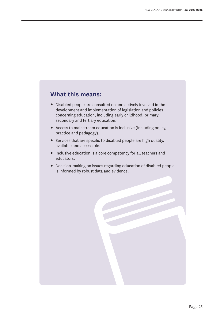#### **What this means:**

- **•** Disabled people are consulted on and actively involved in the development and implementation of legislation and policies concerning education, including early childhood, primary, secondary and tertiary education.
- **•** Access to mainstream education is inclusive (including policy, practice and pedagogy).
- **•** Services that are specific to disabled people are high quality, available and accessible.
- **•** Inclusive education is a core competency for all teachers and educators.
- **•** Decision-making on issues regarding education of disabled people is informed by robust data and evidence.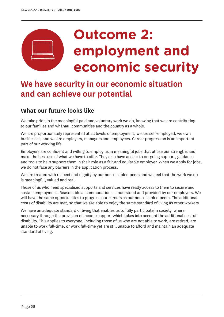## **Outcome 2: employment and economic security**

### **We have security in our economic situation and can achieve our potential**

#### **What our future looks like**

We take pride in the meaningful paid and voluntary work we do, knowing that we are contributing to our families and whānau, communities and the country as a whole.

We are proportionately represented at all levels of employment, we are self-employed, we own businesses, and we are employers, managers and employees. Career progression is an important part of our working life.

Employers are confident and willing to employ us in meaningful jobs that utilise our strengths and make the best use of what we have to offer. They also have access to on-going support, guidance and tools to help support them in their role as a fair and equitable employer. When we apply for jobs, we do not face any barriers in the application process.

We are treated with respect and dignity by our non-disabled peers and we feel that the work we do is meaningful, valued and real.

Those of us who need specialised supports and services have ready access to them to secure and sustain employment. Reasonable accommodation is understood and provided by our employers. We will have the same opportunities to progress our careers as our non-disabled peers. The additional costs of disability are met, so that we are able to enjoy the same standard of living as other workers.

We have an adequate standard of living that enables us to fully participate in society, where necessary through the provision of income support which takes into account the additional cost of disability. This applies to everyone, including those of us who are not able to work, are retired, are unable to work full-time, or work full-time yet are still unable to afford and maintain an adequate standard of living.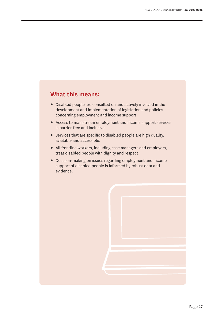#### **What this means:**

- **•** Disabled people are consulted on and actively involved in the development and implementation of legislation and policies concerning employment and income support.
- **•** Access to mainstream employment and income support services is barrier-free and inclusive.
- **•** Services that are specific to disabled people are high quality, available and accessible.
- **•** All frontline workers, including case managers and employers, treat disabled people with dignity and respect.
- **•** Decision-making on issues regarding employment and income support of disabled people is informed by robust data and evidence.

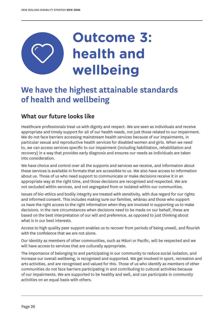## **Outcome 3: health and wellbeing**

### **We have the highest attainable standards of health and wellbeing**

#### **What our future looks like**

Healthcare professionals treat us with dignity and respect. We are seen as individuals and receive appropriate and timely support for all of our health needs, not just those related to our impairment. We do not face barriers accessing mainstream health services because of our impairments, in particular sexual and reproductive health services for disabled women and girls. When we need to, we can access services specific to our impairment (including habilitation, rehabilitation and recovery) in a way that provides early diagnosis and ensures our needs as individuals are taken into consideration.

We have choice and control over all the supports and services we receive, and information about these services is available in formats that are accessible to us. We also have access to information about us. Those of us who need support to communicate or make decisions receive it in an appropriate way at the right time, and those decisions are recognised and respected. We are not secluded within services, and not segregated from or isolated within our communities.

Issues of bio-ethics and bodily integrity are treated with sensitivity, with due regard for our rights and informed consent. This includes making sure our families, whānau and those who support us have the right access to the right information when they are involved in supporting us to make decisions. In the rare circumstances when decisions need to be made on our behalf, these are based on the best interpretation of our will and preference, as opposed to just thinking about what is in our best interests.

Access to high quality peer support enables us to recover from periods of being unwell, and flourish with the confidence that we are not alone.

Our identity as members of other communities, such as Māori or Pacific, will be respected and we will have access to services that are culturally appropriate.

The importance of belonging to and participating in our community to reduce social isolation, and increase our overall wellbeing, is recognised and supported. We get involved in sport, recreation and arts activities, and are recognised and valued for this. Those of us who identify as members of other communities do not face barriers participating in and contributing to cultural activities because of our impairments. We are supported to be healthy and well, and can participate in community activities on an equal basis with others.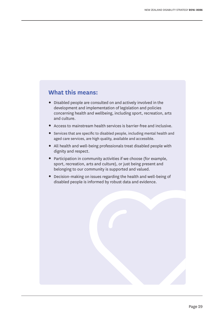#### **What this means:**

- **•** Disabled people are consulted on and actively involved in the development and implementation of legislation and policies concerning health and wellbeing, including sport, recreation, arts and culture.
- **•** Access to mainstream health services is barrier-free and inclusive.
- **•** Services that are specific to disabled people, including mental health and aged care services, are high quality, available and accessible.
- **•** All health and well-being professionals treat disabled people with dignity and respect.
- **•** Participation in community activities if we choose (for example, sport, recreation, arts and culture), or just being present and belonging to our community is supported and valued.
- **•** Decision-making on issues regarding the health and well-being of disabled people is informed by robust data and evidence.

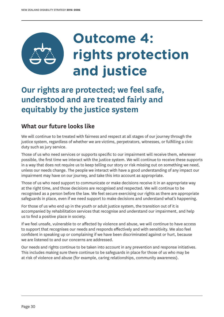## **Outcome 4: rights protection and justice**

### **Our rights are protected; we feel safe, understood and are treated fairly and equitably by the justice system**

#### **What our future looks like**

We will continue to be treated with fairness and respect at all stages of our journey through the justice system, regardless of whether we are victims, perpetrators, witnesses, or fulfilling a civic duty such as jury service.

Those of us who need services or supports specific to our impairment will receive them, wherever possible, the first time we interact with the justice system. We will continue to receive these supports in a way that does not require us to keep telling our story or risk missing out on something we need, unless our needs change. The people we interact with have a good understanding of any impact our impairment may have on our journey, and take this into account as appropriate.

Those of us who need support to communicate or make decisions receive it in an appropriate way at the right time, and those decisions are recognised and respected. We will continue to be recognised as a person before the law. We feel secure exercising our rights as there are appropriate safeguards in place, even if we need support to make decisions and understand what's happening.

For those of us who end up in the youth or adult justice system, the transition out of it is accompanied by rehabilitation services that recognise and understand our impairment, and help us to find a positive place in society.

If we feel unsafe, vulnerable to or affected by violence and abuse, we will continue to have access to support that recognises our needs and responds effectively and with sensitivity. We also feel confident in speaking up or complaining if we have been discriminated against or hurt, because we are listened to and our concerns are addressed.

Our needs and rights continue to be taken into account in any prevention and response initiatives. This includes making sure there continue to be safeguards in place for those of us who may be at risk of violence and abuse (for example, caring relationships, community awareness).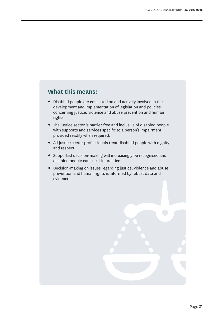#### **What this means:**

- **•** Disabled people are consulted on and actively involved in the development and implementation of legislation and policies concerning justice, violence and abuse prevention and human rights.
- **•** The justice sector is barrier-free and inclusive of disabled people with supports and services specific to a person's impairment provided readily when required.
- **•** All justice sector professionals treat disabled people with dignity and respect.
- **•** Supported decision-making will increasingly be recognised and disabled people can use it in practice.
- **•** Decision-making on issues regarding justice, violence and abuse prevention and human rights is informed by robust data and evidence.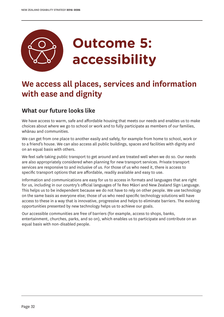

### **We access all places, services and information with ease and dignity**

#### **What our future looks like**

We have access to warm, safe and affordable housing that meets our needs and enables us to make choices about where we go to school or work and to fully participate as members of our families, whānau and communities.

We can get from one place to another easily and safely, for example from home to school, work or to a friend's house. We can also access all public buildings, spaces and facilities with dignity and on an equal basis with others.

We feel safe taking public transport to get around and are treated well when we do so. Our needs are also appropriately considered when planning for new transport services. Private transport services are responsive to and inclusive of us. For those of us who need it, there is access to specific transport options that are affordable, readily available and easy to use.

Information and communications are easy for us to access in formats and languages that are right for us, including in our country's official languages of Te Reo Māori and New Zealand Sign Language. This helps us to be independent because we do not have to rely on other people. We use technology on the same basis as everyone else; those of us who need specific technology solutions will have access to these in a way that is innovative, progressive and helps to eliminate barriers. The evolving opportunities presented by new technology helps us to achieve our goals.

Our accessible communities are free of barriers (for example, access to shops, banks, entertainment, churches, parks, and so on), which enables us to participate and contribute on an equal basis with non-disabled people.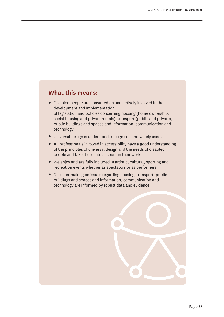#### **What this means:**

- **•** Disabled people are consulted on and actively involved in the development and implementation of legislation and policies concerning housing (home ownership, social housing and private rentals), transport (public and private), public buildings and spaces and information, communication and technology.
- **•** Universal design is understood, recognised and widely used.
- **•** All professionals involved in accessibility have a good understanding of the principles of universal design and the needs of disabled people and take these into account in their work.
- **•** We enjoy and are fully included in artistic, cultural, sporting and recreation events whether as spectators or as performers.
- **•** Decision-making on issues regarding housing, transport, public buildings and spaces and information, communication and technology are informed by robust data and evidence.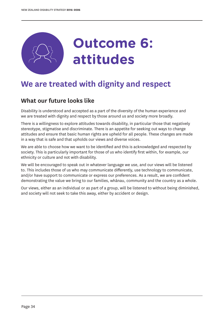

### **We are treated with dignity and respect**

#### **What our future looks like**

Disability is understood and accepted as a part of the diversity of the human experience and we are treated with dignity and respect by those around us and society more broadly.

There is a willingness to explore attitudes towards disability, in particular those that negatively stereotype, stigmatise and discriminate. There is an appetite for seeking out ways to change attitudes and ensure that basic human rights are upheld for all people. These changes are made in a way that is safe and that upholds our views and diverse voices.

We are able to choose how we want to be identified and this is acknowledged and respected by society. This is particularly important for those of us who identify first within, for example, our ethnicity or culture and not with disability.

We will be encouraged to speak out in whatever language we use, and our views will be listened to. This includes those of us who may communicate differently, use technology to communicate, and/or have support to communicate or express our preferences. As a result, we are confident demonstrating the value we bring to our families, whānau, community and the country as a whole.

Our views, either as an individual or as part of a group, will be listened to without being diminished, and society will not seek to take this away, either by accident or design.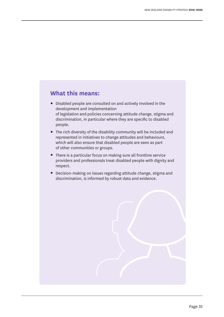#### **What this means:**

- **•** Disabled people are consulted on and actively involved in the development and implementation of legislation and policies concerning attitude change, stigma and discrimination, in particular where they are specific to disabled people.
- **•** The rich diversity of the disability community will be included and represented in initiatives to change attitudes and behaviours, which will also ensure that disabled people are seen as part of other communities or groups.
- **•** There is a particular focus on making sure all frontline service providers and professionals treat disabled people with dignity and respect.
- **•** Decision-making on issues regarding attitude change, stigma and discrimination, is informed by robust data and evidence.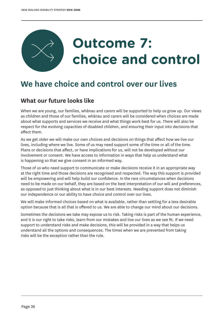

### **We have choice and control over our lives**

#### **What our future looks like**

When we are young, our families, whānau and carers will be supported to help us grow up. Our views as children and those of our families, whānau and carers will be considered when choices are made about what supports and services we receive and what things work best for us. There will also be respect for the evolving capacities of disabled children, and ensuring their input into decisions that affect them.

As we get older we will make our own choices and decisions on things that affect how we live our lives, including where we live. Some of us may need support some of the time or all of the time. Plans or decisions that affect, or have implications for us, will not be developed without our involvement or consent. We have access to information in ways that help us understand what is happening so that we give consent in an informed way.

Those of us who need support to communicate or make decisions receive it in an appropriate way at the right time and those decisions are recognised and respected. The way this support is provided will be empowering and will help build our confidence. In the rare circumstances when decisions need to be made on our behalf, they are based on the best interpretation of our will and preferences, as opposed to just thinking about what is in our best interests. Needing support does not diminish our independence or our ability to have choice and control over our lives.

We will make informed choices based on what is available, rather than settling for a less desirable option because that is all that is offered to us. We are able to change our mind about our decisions.

Sometimes the decisions we take may expose us to risk. Taking risks is part of the human experience, and it is our right to take risks, learn from our mistakes and live our lives as we see fit. If we need support to understand risks and make decisions, this will be provided in a way that helps us understand all the options and consequences. The times when we are prevented from taking risks will be the exception rather than the rule.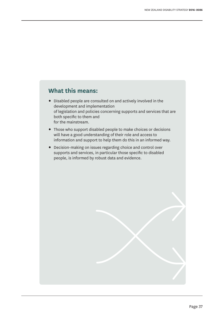#### **What this means:**

- **•** Disabled people are consulted on and actively involved in the development and implementation of legislation and policies concerning supports and services that are both specific to them and for the mainstream.
- **•** Those who support disabled people to make choices or decisions will have a good understanding of their role and access to information and support to help them do this in an informed way.
- **•** Decision-making on issues regarding choice and control over supports and services, in particular those specific to disabled people, is informed by robust data and evidence.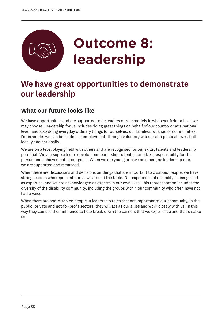

### **We have great opportunities to demonstrate our leadership**

#### **What our future looks like**

We have opportunities and are supported to be leaders or role models in whatever field or level we may choose. Leadership for us includes doing great things on behalf of our country or at a national level, and also doing everyday ordinary things for ourselves, our families, whānau or communities. For example, we can be leaders in employment, through voluntary work or at a political level, both locally and nationally.

We are on a level playing field with others and are recognised for our skills, talents and leadership potential. We are supported to develop our leadership potential, and take responsibility for the pursuit and achievement of our goals. When we are young or have an emerging leadership role, we are supported and mentored.

When there are discussions and decisions on things that are important to disabled people, we have strong leaders who represent our views around the table. Our experience of disability is recognised as expertise, and we are acknowledged as experts in our own lives. This representation includes the diversity of the disability community, including the groups within our community who often have not had a voice.

When there are non-disabled people in leadership roles that are important to our community, in the public, private and not-for-profit sectors, they will act as our allies and work closely with us. In this way they can use their influence to help break down the barriers that we experience and that disable us.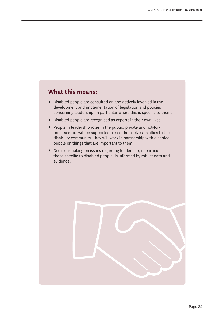#### **What this means:**

- **•** Disabled people are consulted on and actively involved in the development and implementation of legislation and policies concerning leadership, in particular where this is specific to them.
- **•** Disabled people are recognised as experts in their own lives.
- **•** People in leadership roles in the public, private and not-forprofit sectors will be supported to see themselves as allies to the disability community. They will work in partnership with disabled people on things that are important to them.
- **•** Decision-making on issues regarding leadership, in particular those specific to disabled people, is informed by robust data and evidence.

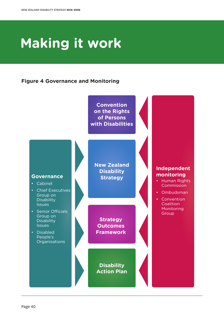## **Making it work**

#### **Figure 4 Governance and Monitoring**

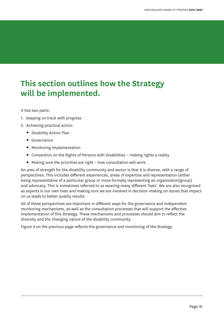### **This section outlines how the Strategy will be implemented.**

It has two parts:

- 1. Keeping on track with progress
- 2. Achieving practical action
	- **•** Disability Action Plan
	- **•** Governance
	- **•** Monitoring implementation
	- **•** Convention on the Rights of Persons with Disabilities making rights a reality
	- **•** Making sure the priorities are right how consultation will work.

An area of strength for the disability community and sector is that it is diverse, with a range of perspectives. This includes different experiences, areas of expertise and representation (either being representative of a particular group or more formally representing an organisation/group) and advocacy. This is sometimes referred to as wearing many different 'hats'. We are also recognised as experts in our own lives and making sure we are involved in decision-making on issues that impact on us leads to better quality results.

All of these perspectives are important in different ways for the governance and independent monitoring mechanisms, as well as the consultation processes that will support the effective implementation of this Strategy. These mechanisms and processes should aim to reflect the diversity and the changing nature of the disability community.

Figure 4 on the previous page reflects the governance and monitoring of the Strategy.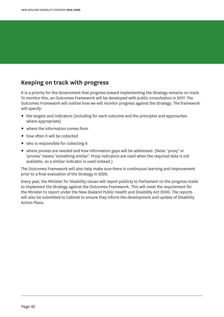#### **Keeping on track with progress**

It is a priority for the Government that progress toward implementing the Strategy remains on track. To monitor this, an Outcomes Framework will be developed with public consultation in 2017. The Outcomes Framework will outline how we will monitor progress against the Strategy. The framework will specify:

- **•** the targets and indicators (including for each outcome and the principles and approaches where appropriate)
- **•** where the information comes from
- **•** how often it will be collected
- **•** who is responsible for collecting it
- **•** where proxies are needed and how information gaps will be addressed. (Note: 'proxy' or 'proxies' means 'something similar'. Proxy indicators are used when the required data is not available, so a similar indicator is used instead.)

The Outcomes Framework will also help make sure there is continuous learning and improvement prior to a final evaluation of the Strategy in 2026.

Every year, the Minister for Disability Issues will report publicly to Parliament on the progress made to implement the Strategy against the Outcomes Framework. This will meet the requirement for the Minister to report under the New Zealand Public Health and Disability Act 2000. The reports will also be submitted to Cabinet to ensure they inform the development and update of Disability Action Plans.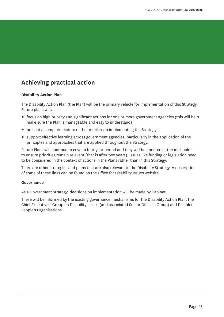#### **Achieving practical action**

#### **Disability Action Plan**

The Disability Action Plan (the Plan) will be the primary vehicle for implementation of this Strategy. Future plans will:

- **•** focus on high priority and significant actions for one or more government agencies (this will help make sure the Plan is manageable and easy to understand)
- **•** present a complete picture of the priorities in implementing the Strategy
- **•** support effective learning across government agencies, particularly in the application of the principles and approaches that are applied throughout the Strategy.

Future Plans will continue to cover a four-year period and they will be updated at the mid-point to ensure priorities remain relevant (that is after two years). Issues like funding or legislation need to be considered in the context of actions in the Plans rather than in this Strategy.

There are other strategies and plans that are also relevant to the Disability Strategy. A description of some of these links can be found on the Office for Disability Issues website.

#### **Governance**

As a Government Strategy, decisions on implementation will be made by Cabinet.

These will be informed by the existing governance mechanisms for the Disability Action Plan: the Chief Executives' Group on Disability Issues (and associated Senior Officials Group) and Disabled People's Organisations.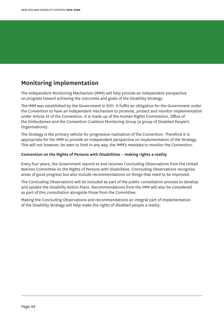#### **Monitoring implementation**

The Independent Monitoring Mechanism (IMM) will help provide an independent perspective on progress toward achieving the outcomes and goals of the Disability Strategy.

The IMM was established by the Government in 2011. It fulfils an obligation for the Government under the Convention to have an independent mechanism to promote, protect and monitor implementation under Article 33 of the Convention. It is made up of the Human Rights Commission, Office of the Ombudsman and the Convention Coalition Monitoring Group (a group of Disabled People's Organisations).

The Strategy is the primary vehicle for progressive realisation of the Convention. Therefore it is appropriate for the IMM to provide an independent perspective on implementation of the Strategy. This will not however, be seen to limit in any way, the IMM's mandate to monitor the Convention.

#### **Convention on the Rights of Persons with Disabilities – making rights a reality**

Every four years, the Government reports to and receives Concluding Observations from the United Nations Committee on the Rights of Persons with Disabilities. Concluding Observations recognise areas of good progress but also include recommendations on things that need to be improved.

The Concluding Observations will be included as part of the public consultation process to develop and update the Disability Action Plans. Recommendations from the IMM will also be considered as part of this consultation alongside those from the Committee.

Making the Concluding Observations and recommendations an integral part of implementation of the Disability Strategy will help make the rights of disabled people a reality.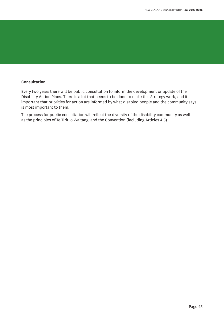#### **Consultation**

Every two years there will be public consultation to inform the development or update of the Disability Action Plans. There is a lot that needs to be done to make this Strategy work, and it is important that priorities for action are informed by what disabled people and the community says is most important to them.

The process for public consultation will reflect the diversity of the disability community as well as the principles of Te Tiriti o Waitangi and the Convention (including Articles 4.3).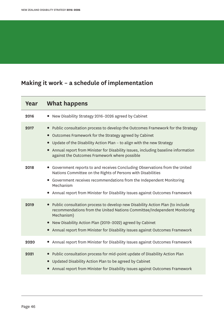### **Making it work – a schedule of implementation**

| Year | What happens                                                                                                                                                                                                                                                                                                                                                        |
|------|---------------------------------------------------------------------------------------------------------------------------------------------------------------------------------------------------------------------------------------------------------------------------------------------------------------------------------------------------------------------|
| 2016 | New Disability Strategy 2016-2026 agreed by Cabinet<br>$\bullet$                                                                                                                                                                                                                                                                                                    |
| 2017 | Public consultation process to develop the Outcomes Framework for the Strategy<br>Outcomes Framework for the Strategy agreed by Cabinet<br>$\bullet$<br>Update of the Disability Action Plan - to align with the new Strategy<br>Annual report from Minister for Disability Issues, including baseline information<br>against the Outcomes Framework where possible |
| 2018 | • Government reports to and receives Concluding Observations from the United<br>Nations Committee on the Rights of Persons with Disabilities<br>Government receives recommendations from the Independent Monitoring<br>Mechanism<br>Annual report from Minister for Disability Issues against Outcomes Framework                                                    |
| 2019 | Public consultation process to develop new Disability Action Plan (to include<br>$\bullet$<br>recommendations from the United Nations Committee/Independent Monitoring<br>Mechanism)<br>New Disability Action Plan (2019-2022) agreed by Cabinet<br>$\bullet$<br>• Annual report from Minister for Disability Issues against Outcomes Framework                     |
| 2020 | Annual report from Minister for Disability Issues against Outcomes Framework<br>$\bullet$                                                                                                                                                                                                                                                                           |
| 2021 | Public consultation process for mid-point update of Disability Action Plan<br>$\bullet$<br>Updated Disability Action Plan to be agreed by Cabinet<br>Annual report from Minister for Disability Issues against Outcomes Framework                                                                                                                                   |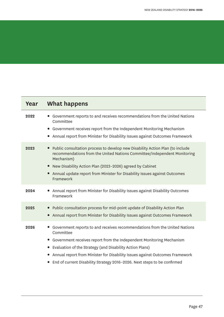Ξ

| Year | <b>What happens</b>                                                                                                                                                                                                                                                                                                                                                                                                            |
|------|--------------------------------------------------------------------------------------------------------------------------------------------------------------------------------------------------------------------------------------------------------------------------------------------------------------------------------------------------------------------------------------------------------------------------------|
| 2022 | Government reports to and receives recommendations from the United Nations<br>Committee<br>• Government receives report from the Independent Monitoring Mechanism<br>Annual report from Minister for Disability Issues against Outcomes Framework<br>$\bullet$                                                                                                                                                                 |
| 2023 | Public consultation process to develop new Disability Action Plan (to include<br>$\bullet$<br>recommendations from the United Nations Committee/Independent Monitoring<br>Mechanism)<br>New Disability Action Plan (2023-2026) agreed by Cabinet<br>$\bullet$<br>Annual update report from Minister for Disability Issues against Outcomes<br>$\bullet$<br>Framework                                                           |
| 2024 | Annual report from Minister for Disability Issues against Disability Outcomes<br>Framework                                                                                                                                                                                                                                                                                                                                     |
| 2025 | Public consultation process for mid-point update of Disability Action Plan<br>Annual report from Minister for Disability Issues against Outcomes Framework                                                                                                                                                                                                                                                                     |
| 2026 | Government reports to and receives recommendations from the United Nations<br>Committee<br>Government receives report from the Independent Monitoring Mechanism<br>$\bullet$<br>Evaluation of the Strategy (and Disability Action Plans)<br>$\bullet$<br>Annual report from Minister for Disability Issues against Outcomes Framework<br>$\bullet$<br>End of current Disability Strategy 2016-2026. Next steps to be confirmed |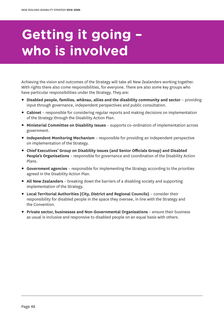## **Getting it going – who is involved**

Achieving the vision and outcomes of the Strategy will take all New Zealanders working together. With rights there also come responsibilities, for everyone. There are also some key groups who have particular responsibilities under the Strategy. They are:

- **• Disabled people, families, whānau, allies and the disability community and sector** providing input through governance, independent perspectives and public consultation.
- **• Cabinet** responsible for considering regular reports and making decisions on implementation of the Strategy through the Disability Action Plan.
- **• Ministerial Committee on Disability Issues** supports co-ordination of implementation across government.
- **• Independent Monitoring Mechanism** responsible for providing an independent perspective on implementation of the Strategy.
- **• Chief Executives' Group on Disability Issues (and Senior Officials Group) and Disabled People's Organisations** – responsible for governance and coordination of the Disability Action Plans.
- **• Government agencies** responsible for implementing the Strategy according to the priorities agreed in the Disability Action Plan.
- **• All New Zealanders** breaking down the barriers of a disabling society and supporting implementation of the Strategy.
- **• Local Territorial Authorities (City, District and Regional Councils)** consider their responsibility for disabled people in the space they oversee, in line with the Strategy and the Convention.
- **• Private sector, businesses and Non-Governmental Organisations** ensure their business as usual is inclusive and responsive to disabled people on an equal basis with others.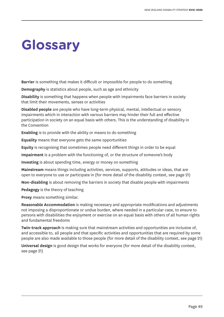## **Glossary**

**Barrier** is something that makes it difficult or impossible for people to do something

**Demography** is statistics about people, such as age and ethnicity

**Disability** is something that happens when people with impairments face barriers in society that limit their movements, senses or activities

**Disabled people** are people who have long-term physical, mental, intellectual or sensory impairments which in interaction with various barriers may hinder their full and effective participation in society on an equal basis with others. This is the understanding of disability in the Convention

**Enabling** is to provide with the ability or means to do something

**Equality** means that everyone gets the same opportunities

**Equity** is recognising that sometimes people need different things in order to be equal

**Impairment** is a problem with the functioning of, or the structure of someone's body

**Investing** is about spending time, energy or money on something

**Mainstream** means things including activities, services, supports, attitudes or ideas, that are open to everyone to use or participate in (for more detail of the disability context, see page 21)

**Non-disabling** is about removing the barriers in society that disable people with impairments

**Pedagogy** is the theory of teaching

**Proxy** means something similar.

**Reasonable Accommodation** is making necessary and appropriate modifications and adjustments not imposing a disproportionate or undue burden, where needed in a particular case, to ensure to persons with disabilities the enjoyment or exercise on an equal basis with others of all human rights and fundamental freedoms

**Twin-track approach** is making sure that mainstream activities and opportunities are inclusive of, and accessible to, all people and that specific activities and opportunities that are required by some people are also made available to those people (for more detail of the disability context, see page 21)

**Universal design** is good design that works for everyone (for more detail of the disability context, see page 21)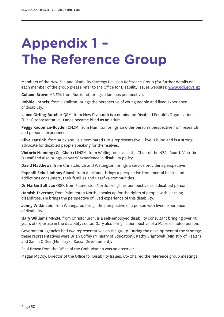## **Appendix 1 – The Reference Group**

Members of the New Zealand Disability Strategy Revision Reference Group (for further details on each member of the group please refer to the Office for Disability Issues website): **www.odi.govt.nz**

**Colleen Brown** MNZM, from Auckland, brings a families perspective.

**Robbie Francis**, from Hamilton, brings the perspective of young people and lived experience of disability.

**Lance Girling-Butcher** QSM, from New Plymouth is a nominated Disabled People's Organisations (DPOs) representative. Lance became blind as an adult.

**Peggy Koopman-Boyden** CNZM, from Hamilton brings an older person's perspective from research and personal experience.

**Clive Lansink**, from Auckland, is a nominated DPOs representative. Clive is blind and is a strong advocate for disabled people speaking for themselves.

**Victoria Manning (Co-Chair)** MNZM, from Wellington is also the Chair of the NZSL Board. Victoria is Deaf and also brings 20 years' experience in disability policy.

**David Matthews**, from Christchurch and Wellington, brings a service provider's perspective.

**Papaalii Seiuli Johnny Siaosi**, from Auckland, brings a perspective from mental health and addictions consumers, their families and Pasefika communities.

**Dr Martin Sullivan** QSO, from Palmerston North, brings his perspective as a disabled person.

**Hamish Taverner**, from Palmerston North, speaks up for the rights of people with learning disabilities. He brings the perspective of lived experience of this disability.

**Jonny Wilkinson**, from Whangarei, brings the perspective of a person with lived experience of disability.

**Gary Williams** MNZM, from Christchurch, is a self-employed disability consultant bringing over 40 years of expertise in the disability sector. Gary also brings a perspective of a Māori disabled person.

Government agencies had two representatives on the group. During the development of the Strategy, these representatives were Brian Coffey (Ministry of Education), Kathy Brightwell (Ministry of Health) and Sacha O'Dea (Ministry of Social Development).

Paul Brown from the Office of the Ombudsman was an observer.

Megan McCoy, Director of the Office for Disability Issues, Co-Chaired the reference group meetings.